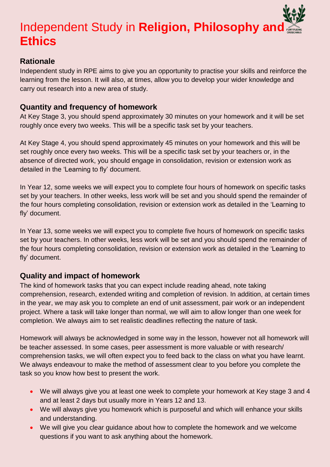# **Independent Study in Religion, Philosophy and Ethics**

### **Rationale**

Independent study in RPE aims to give you an opportunity to practise your skills and reinforce the learning from the lesson. It will also, at times, allow you to develop your wider knowledge and carry out research into a new area of study.

#### **Quantity and frequency of homework**

At Key Stage 3, you should spend approximately 30 minutes on your homework and it will be set roughly once every two weeks. This will be a specific task set by your teachers.

At Key Stage 4, you should spend approximately 45 minutes on your homework and this will be set roughly once every two weeks. This will be a specific task set by your teachers or, in the absence of directed work, you should engage in consolidation, revision or extension work as detailed in the 'Learning to fly' document.

In Year 12, some weeks we will expect you to complete four hours of homework on specific tasks set by your teachers. In other weeks, less work will be set and you should spend the remainder of the four hours completing consolidation, revision or extension work as detailed in the 'Learning to fly' document.

In Year 13, some weeks we will expect you to complete five hours of homework on specific tasks set by your teachers. In other weeks, less work will be set and you should spend the remainder of the four hours completing consolidation, revision or extension work as detailed in the 'Learning to fly' document.

## **Quality and impact of homework**

The kind of homework tasks that you can expect include reading ahead, note taking comprehension, research, extended writing and completion of revision. In addition, at certain times in the year, we may ask you to complete an end of unit assessment, pair work or an independent project. Where a task will take longer than normal, we will aim to allow longer than one week for completion. We always aim to set realistic deadlines reflecting the nature of task.

Homework will always be acknowledged in some way in the lesson, however not all homework will be teacher assessed. In some cases, peer assessment is more valuable or with research/ comprehension tasks, we will often expect you to feed back to the class on what you have learnt. We always endeavour to make the method of assessment clear to you before you complete the task so you know how best to present the work.

- We will always give you at least one week to complete your homework at Key stage 3 and 4 and at least 2 days but usually more in Years 12 and 13.
- We will always give you homework which is purposeful and which will enhance your skills and understanding.
- We will give you clear guidance about how to complete the homework and we welcome questions if you want to ask anything about the homework.